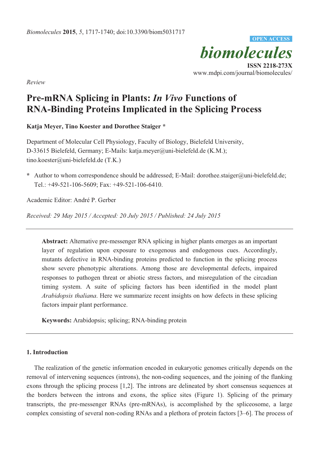

**ISSN 2218-273X**  www.mdpi.com/journal/biomolecules/

*Review* 

# **Pre-mRNA Splicing in Plants:** *In Vivo* **Functions of RNA-Binding Proteins Implicated in the Splicing Process**

**Katja Meyer, Tino Koester and Dorothee Staiger \*** 

Department of Molecular Cell Physiology, Faculty of Biology, Bielefeld University, D-33615 Bielefeld, Germany; E-Mails: katja.meyer@uni-bielefeld.de (K.M.); tino.koester@uni-bielefeld.de (T.K.)

**\*** Author to whom correspondence should be addressed; E-Mail: dorothee.staiger@uni-bielefeld.de; Tel.: +49-521-106-5609; Fax: +49-521-106-6410.

Academic Editor: André P. Gerber

*Received: 29 May 2015 / Accepted: 20 July 2015 / Published: 24 July 2015* 

**Abstract:** Alternative pre-messenger RNA splicing in higher plants emerges as an important layer of regulation upon exposure to exogenous and endogenous cues. Accordingly, mutants defective in RNA-binding proteins predicted to function in the splicing process show severe phenotypic alterations. Among those are developmental defects, impaired responses to pathogen threat or abiotic stress factors, and misregulation of the circadian timing system. A suite of splicing factors has been identified in the model plant *Arabidopsis thaliana*. Here we summarize recent insights on how defects in these splicing factors impair plant performance.

**Keywords:** Arabidopsis; splicing; RNA-binding protein

## **1. Introduction**

The realization of the genetic information encoded in eukaryotic genomes critically depends on the removal of intervening sequences (introns), the non-coding sequences, and the joining of the flanking exons through the splicing process [1,2]. The introns are delineated by short consensus sequences at the borders between the introns and exons, the splice sites (Figure 1). Splicing of the primary transcripts, the pre-messenger RNAs (pre-mRNAs), is accomplished by the spliceosome, a large complex consisting of several non-coding RNAs and a plethora of protein factors [3–6]. The process of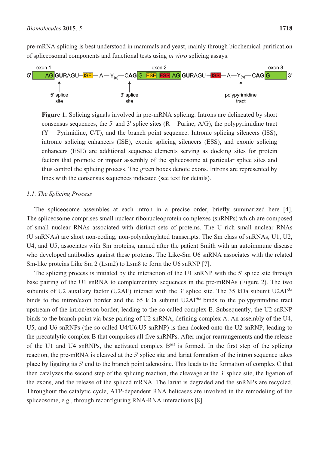pre-mRNA splicing is best understood in mammals and yeast, mainly through biochemical purification of spliceosomal components and functional tests using *in vitro* splicing assays.



**Figure 1.** Splicing signals involved in pre-mRNA splicing. Introns are delineated by short consensus sequences, the 5' and 3' splice sites  $(R =$  Purine,  $A/G$ ), the polypyrimidine tract  $(Y = Pyrimidine, C/T)$ , and the branch point sequence. Intronic splicing silencers (ISS), intronic splicing enhancers (ISE), exonic splicing silencers (ESS), and exonic splicing enhancers (ESE) are additional sequence elements serving as docking sites for protein factors that promote or impair assembly of the spliceosome at particular splice sites and thus control the splicing process. The green boxes denote exons. Introns are represented by lines with the consensus sequences indicated (see text for details).

## *1.1. The Splicing Process*

The spliceosome assembles at each intron in a precise order, briefly summarized here [4]. The spliceosome comprises small nuclear ribonucleoprotein complexes (snRNPs) which are composed of small nuclear RNAs associated with distinct sets of proteins. The U rich small nuclear RNAs (U snRNAs) are short non-coding, non-polyadenylated transcripts. The Sm class of snRNAs, U1, U2, U4, and U5, associates with Sm proteins, named after the patient Smith with an autoimmune disease who developed antibodies against these proteins. The Like-Sm U6 snRNA associates with the related Sm-like proteins Like Sm 2 (Lsm2) to Lsm8 to form the U6 snRNP [7].

The splicing process is initiated by the interaction of the U1 snRNP with the 5' splice site through base pairing of the U1 snRNA to complementary sequences in the pre-mRNAs (Figure 2). The two subunits of U2 auxillary factor (U2AF) interact with the 3' splice site. The 35 kDa subunit U2AF<sup>35</sup> binds to the intron/exon border and the 65 kDa subunit  $U2AF^{65}$  binds to the polypyrimidine tract upstream of the intron/exon border, leading to the so-called complex E. Subsequently, the U2 snRNP binds to the branch point via base pairing of U2 snRNA, defining complex A. An assembly of the U4, U5, and U6 snRNPs (the so-called U4/U6.U5 snRNP) is then docked onto the U2 snRNP, leading to the precatalytic complex B that comprises all five snRNPs. After major rearrangements and the release of the U1 and U4 snRNPs, the activated complex  $B^{act}$  is formed. In the first step of the splicing reaction, the pre-mRNA is cleaved at the 5' splice site and lariat formation of the intron sequence takes place by ligating its 5' end to the branch point adenosine. This leads to the formation of complex C that then catalyzes the second step of the splicing reaction, the cleavage at the 3' splice site, the ligation of the exons, and the release of the spliced mRNA. The lariat is degraded and the snRNPs are recycled. Throughout the catalytic cycle, ATP-dependent RNA helicases are involved in the remodeling of the spliceosome, e.g., through reconfiguring RNA-RNA interactions [8].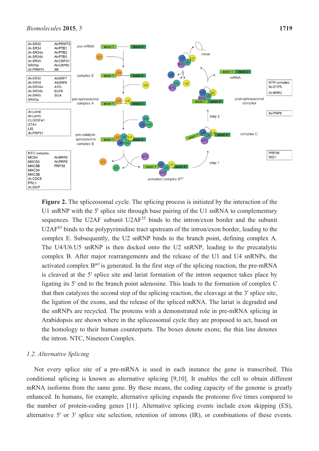

**Figure 2.** The spliceosomal cycle. The splicing process is initiated by the interaction of the U1 snRNP with the 5' splice site through base pairing of the U1 snRNA to complementary sequences. The U2AF subunit U2AF $35$  binds to the intron/exon border and the subunit U2AF<sup>65</sup> binds to the polypyrimidine tract upstream of the intron/exon border, leading to the complex E. Subsequently, the U2 snRNP binds to the branch point, defining complex A. The U4/U6.U5 snRNP is then docked onto the U2 snRNP, leading to the precatalytic complex B. After major rearrangements and the release of the U1 and U4 snRNPs, the activated complex  $B<sup>act</sup>$  is generated. In the first step of the splicing reaction, the pre-mRNA is cleaved at the 5' splice site and lariat formation of the intron sequence takes place by ligating its 5' end to the branch point adenosine. This leads to the formation of complex C that then catalyzes the second step of the splicing reaction, the cleavage at the 3' splice site, the ligation of the exons, and the release of the spliced mRNA. The lariat is degraded and the snRNPs are recycled. The proteins with a demonstrated role in pre-mRNA splicing in Arabidopsis are shown where in the spliceosomal cycle they are proposed to act, based on the homology to their human counterparts. The boxes denote exons; the thin line denotes the intron. NTC, Nineteen Complex.

#### *1.2. Alternative Splicing*

Not every splice site of a pre-mRNA is used in each instance the gene is transcribed. This conditional splicing is known as alternative splicing [9,10]. It enables the cell to obtain different mRNA isoforms from the same gene. By these means, the coding capacity of the genome is greatly enhanced. In humans, for example, alternative splicing expands the proteome five times compared to the number of protein-coding genes [11]. Alternative splicing events include exon skipping (ES), alternative 5' or 3' splice site selection, retention of introns (IR), or combinations of these events.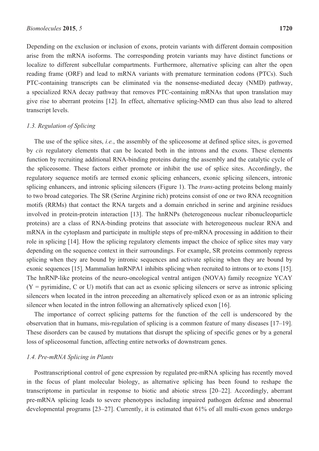Depending on the exclusion or inclusion of exons, protein variants with different domain composition arise from the mRNA isoforms. The corresponding protein variants may have distinct functions or localize to different subcellular compartments. Furthermore, alternative splicing can alter the open reading frame (ORF) and lead to mRNA variants with premature termination codons (PTCs). Such PTC-containing transcripts can be eliminated via the nonsense-mediated decay (NMD) pathway, a specialized RNA decay pathway that removes PTC-containing mRNAs that upon translation may give rise to aberrant proteins [12]. In effect, alternative splicing-NMD can thus also lead to altered transcript levels.

## *1.3. Regulation of Splicing*

The use of the splice sites, *i.e.*, the assembly of the spliceosome at defined splice sites, is governed by *cis* regulatory elements that can be located both in the introns and the exons. These elements function by recruiting additional RNA-binding proteins during the assembly and the catalytic cycle of the spliceosome. These factors either promote or inhibit the use of splice sites. Accordingly, the regulatory sequence motifs are termed exonic splicing enhancers, exonic splicing silencers, intronic splicing enhancers, and intronic splicing silencers (Figure 1). The *trans*-acting proteins belong mainly to two broad categories. The SR (Serine Arginine rich) proteins consist of one or two RNA recognition motifs (RRMs) that contact the RNA targets and a domain enriched in serine and arginine residues involved in protein-protein interaction [13]. The hnRNPs (heterogeneous nuclear ribonucleoparticle proteins) are a class of RNA-binding proteins that associate with heterogeneous nuclear RNA and mRNA in the cytoplasm and participate in multiple steps of pre-mRNA processing in addition to their role in splicing [14]. How the splicing regulatory elements impact the choice of splice sites may vary depending on the sequence context in their surroundings. For example, SR proteins commonly repress splicing when they are bound by intronic sequences and activate splicing when they are bound by exonic sequences [15]. Mammalian hnRNPA1 inhibits splicing when recruited to introns or to exons [15]. The hnRNP-like proteins of the neuro-oncological ventral antigen (NOVA) family recognize YCAY  $(Y =$  pyrimidine, C or U) motifs that can act as exonic splicing silencers or serve as intronic splicing silencers when located in the intron preceeding an alternatively spliced exon or as an intronic splicing silencer when located in the intron following an alternatively spliced exon [16].

The importance of correct splicing patterns for the function of the cell is underscored by the observation that in humans, mis-regulation of splicing is a common feature of many diseases [17–19]. These disorders can be caused by mutations that disrupt the splicing of specific genes or by a general loss of spliceosomal function, affecting entire networks of downstream genes.

## *1.4. Pre-mRNA Splicing in Plants*

Posttranscriptional control of gene expression by regulated pre-mRNA splicing has recently moved in the focus of plant molecular biology, as alternative splicing has been found to reshape the transcriptome in particular in response to biotic and abiotic stress [20–22]. Accordingly, aberrant pre-mRNA splicing leads to severe phenotypes including impaired pathogen defense and abnormal developmental programs [23–27]. Currently, it is estimated that 61% of all multi-exon genes undergo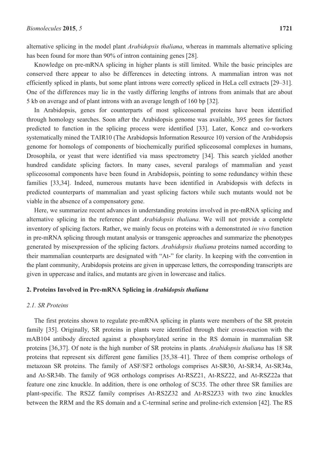Knowledge on pre-mRNA splicing in higher plants is still limited. While the basic principles are conserved there appear to also be differences in detecting introns. A mammalian intron was not efficiently spliced in plants, but some plant introns were correctly spliced in HeLa cell extracts [29–31]. One of the differences may lie in the vastly differing lengths of introns from animals that are about 5 kb on average and of plant introns with an average length of 160 bp [32].

In Arabidopsis, genes for counterparts of most spliceosomal proteins have been identified through homology searches. Soon after the Arabidopsis genome was available, 395 genes for factors predicted to function in the splicing process were identified [33]. Later, Koncz and co-workers systematically mined the TAIR10 (The Arabidopsis Information Resource 10) version of the Arabidopsis genome for homologs of components of biochemically purified spliceosomal complexes in humans, Drosophila, or yeast that were identified via mass spectrometry [34]. This search yielded another hundred candidate splicing factors. In many cases, several paralogs of mammalian and yeast spliceosomal components have been found in Arabidopsis, pointing to some redundancy within these families [33,34]. Indeed, numerous mutants have been identified in Arabidopsis with defects in predicted counterparts of mammalian and yeast splicing factors while such mutants would not be viable in the absence of a compensatory gene.

Here, we summarize recent advances in understanding proteins involved in pre-mRNA splicing and alternative splicing in the reference plant *Arabidopsis thaliana*. We will not provide a complete inventory of splicing factors. Rather, we mainly focus on proteins with a demonstrated *in vivo* function in pre-mRNA splicing through mutant analysis or transgenic approaches and summarize the phenotypes generated by misexpression of the splicing factors. *Arabidopsis thaliana* proteins named according to their mammalian counterparts are designated with "At-" for clarity. In keeping with the convention in the plant community, Arabidopsis proteins are given in uppercase letters, the corresponding transcripts are given in uppercase and italics, and mutants are given in lowercase and italics.

#### **2. Proteins Involved in Pre-mRNA Splicing in** *Arabidopsis thaliana*

## *2.1. SR Proteins*

The first proteins shown to regulate pre-mRNA splicing in plants were members of the SR protein family [35]. Originally, SR proteins in plants were identified through their cross-reaction with the mAB104 antibody directed against a phosphorylated serine in the RS domain in mammalian SR proteins [36,37]. Of note is the high number of SR proteins in plants. *Arabidopsis thaliana* has 18 SR proteins that represent six different gene families [35,38–41]. Three of them comprise orthologs of metazoan SR proteins. The family of ASF/SF2 orthologs comprises At-SR30, At-SR34, At-SR34a, and At-SR34b. The family of 9G8 orthologs comprises At-RSZ21, At-RSZ22, and At-RSZ22a that feature one zinc knuckle. In addition, there is one ortholog of SC35. The other three SR families are plant-specific. The RS2Z family comprises At-RS2Z32 and At-RS2Z33 with two zinc knuckles between the RRM and the RS domain and a C-terminal serine and proline-rich extension [42]. The RS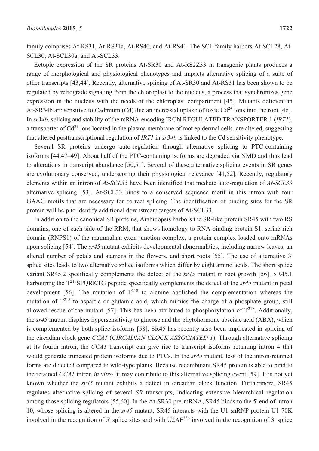family comprises At-RS31, At-RS31a, At-RS40, and At-RS41. The SCL family harbors At-SCL28, At-SCL30, At-SCL30a, and At-SCL33.

Ectopic expression of the SR proteins At-SR30 and At-RS2Z33 in transgenic plants produces a range of morphological and physiological phenotypes and impacts alternative splicing of a suite of other transcripts [43,44]. Recently, alternative splicing of At-SR30 and At-RS31 has been shown to be regulated by retrograde signaling from the chloroplast to the nucleus, a process that synchronizes gene expression in the nucleus with the needs of the chloroplast compartment [45]. Mutants deficient in At-SR34b are sensitive to Cadmium (Cd) due an increased uptake of toxic  $Cd^{2+}$  ions into the root [46]. In *sr34b*, splicing and stability of the mRNA-encoding IRON REGULATED TRANSPORTER 1 (*IRT1*), a transporter of  $Cd^{2+}$  ions located in the plasma membrane of root epidermal cells, are altered, suggesting that altered posttranscriptional regulation of *IRT1* in *sr34b* is linked to the Cd sensitivity phenotype.

Several SR proteins undergo auto-regulation through alternative splicing to PTC-containing isoforms [44,47–49]. About half of the PTC-containing isoforms are degraded via NMD and thus lead to alterations in transcript abundance [50,51]. Several of these alternative splicing events in SR genes are evolutionary conserved, underscoring their physiological relevance [41,52]. Recently, regulatory elements within an intron of *At-SCL33* have been identified that mediate auto-regulation of *At-SCL33*  alternative splicing [53]. At-SCL33 binds to a conserved sequence motif in this intron with four GAAG motifs that are necessary for correct splicing. The identification of binding sites for the SR protein will help to identify additional downstream targets of At-SCL33.

In addition to the canonical SR proteins, Arabidopsis harbors the SR-like protein SR45 with two RS domains, one of each side of the RRM, that shows homology to RNA binding protein S1, serine-rich domain (RNPS1) of the mammalian exon junction complex, a protein complex loaded onto mRNAs upon splicing [54]. The *sr45* mutant exhibits developmental abnormalities, including narrow leaves, an altered number of petals and stamens in the flowers, and short roots [55]. The use of alternative 3' splice sites leads to two alternative splice isoforms which differ by eight amino acids. The short splice variant SR45.2 specifically complements the defect of the *sr45* mutant in root growth [56]. SR45.1 harbouring the T<sup>218</sup>SPQRKTG peptide specifically complements the defect of the *sr45* mutant in petal development [56]. The mutation of  $T^{218}$  to alanine abolished the complementation whereas the mutation of  $T^{218}$  to aspartic or glutamic acid, which mimics the charge of a phosphate group, still allowed rescue of the mutant [57]. This has been attributed to phosphorylation of  $T^{218}$ . Additionally, the *sr45* mutant displays hypersensitivity to glucose and the phytohormone abscisic acid (ABA), which is complemented by both splice isoforms [58]. SR45 has recently also been implicated in splicing of the circadian clock gene *CCA1* (*CIRCADIAN CLOCK ASSOCIATED 1*). Through alternative splicing at its fourth intron, the *CCA1* transcript can give rise to transcript isoforms retaining intron 4 that would generate truncated protein isoforms due to PTCs. In the *sr45* mutant, less of the intron-retained forms are detected compared to wild-type plants. Because recombinant SR45 protein is able to bind to the retained *CCA1* intron *in vitro*, it may contribute to this alternative splicing event [59]. It is not yet known whether the *sr45* mutant exhibits a defect in circadian clock function. Furthermore, SR45 regulates alternative splicing of several *SR* transcripts, indicating extensive hierarchical regulation among those splicing regulators [55,60]. In the At-SR30 pre-mRNA, SR45 binds to the 5' end of intron 10, whose splicing is altered in the *sr45* mutant. SR45 interacts with the U1 snRNP protein U1-70K involved in the recognition of 5' splice sites and with U2AF35b involved in the recognition of 3' splice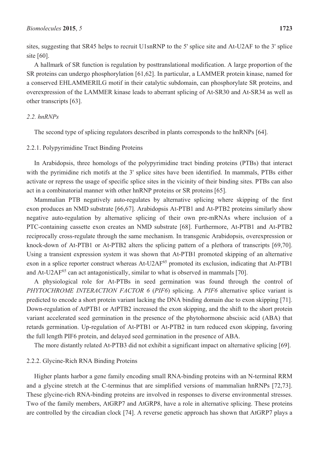sites, suggesting that SR45 helps to recruit U1snRNP to the 5' splice site and At-U2AF to the 3' splice site [60].

A hallmark of SR function is regulation by posttranslational modification. A large proportion of the SR proteins can undergo phosphorylation [61,62]. In particular, a LAMMER protein kinase, named for a conserved EHLAMMERILG motif in their catalytic subdomain, can phosphorylate SR proteins, and overexpression of the LAMMER kinase leads to aberrant splicing of At-SR30 and At-SR34 as well as other transcripts [63].

## *2.2. hnRNPs*

The second type of splicing regulators described in plants corresponds to the hnRNPs [64].

#### 2.2.1. Polypyrimidine Tract Binding Proteins

In Arabidopsis, three homologs of the polypyrimidine tract binding proteins (PTBs) that interact with the pyrimidine rich motifs at the 3' splice sites have been identified. In mammals, PTBs either activate or repress the usage of specific splice sites in the vicinity of their binding sites. PTBs can also act in a combinatorial manner with other hnRNP proteins or SR proteins [65].

Mammalian PTB negatively auto-regulates by alternative splicing where skipping of the first exon produces an NMD substrate [66,67]. Arabidopsis At-PTB1 and At-PTB2 proteins similarly show negative auto-regulation by alternative splicing of their own pre-mRNAs where inclusion of a PTC-containing cassette exon creates an NMD substrate [68]. Furthermore, At-PTB1 and At-PTB2 reciprocally cross-regulate through the same mechanism. In transgenic Arabidopsis, overexpression or knock-down of At-PTB1 or At-PTB2 alters the splicing pattern of a plethora of transcripts [69,70]. Using a transient expression system it was shown that At-PTB1 promoted skipping of an alternative exon in a splice reporter construct whereas At-U2AF<sup>65</sup> promoted its exclusion, indicating that At-PTB1 and At-U2A $F^{65}$  can act antagonistically, similar to what is observed in mammals [70].

A physiological role for At-PTBs in seed germination was found through the control of *PHYTOCHROME INTERACTION FACTOR 6* (*PIF6*) splicing. A *PIF6* alternative splice variant is predicted to encode a short protein variant lacking the DNA binding domain due to exon skipping [71]. Down-regulation of AtPTB1 or AtPTB2 increased the exon skipping, and the shift to the short protein variant accelerated seed germination in the presence of the phytohormone abscisic acid (ABA) that retards germination. Up-regulation of At-PTB1 or At-PTB2 in turn reduced exon skipping, favoring the full length PIF6 protein, and delayed seed germination in the presence of ABA.

The more distantly related At-PTB3 did not exhibit a significant impact on alternative splicing [69].

#### 2.2.2. Glycine-Rich RNA Binding Proteins

Higher plants harbor a gene family encoding small RNA-binding proteins with an N-terminal RRM and a glycine stretch at the C-terminus that are simplified versions of mammalian hnRNPs [72,73]. These glycine-rich RNA-binding proteins are involved in responses to diverse environmental stresses. Two of the family members, AtGRP7 and AtGRP8, have a role in alternative splicing. These proteins are controlled by the circadian clock [74]. A reverse genetic approach has shown that AtGRP7 plays a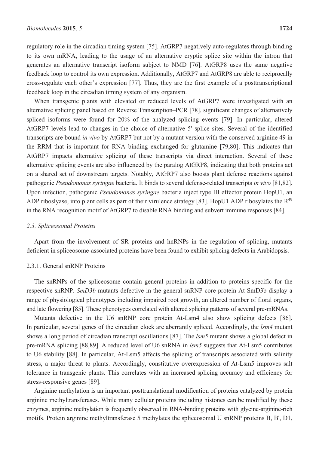regulatory role in the circadian timing system [75]. AtGRP7 negatively auto-regulates through binding to its own mRNA, leading to the usage of an alternative cryptic splice site within the intron that generates an alternative transcript isoform subject to NMD [76]. AtGRP8 uses the same negative feedback loop to control its own expression. Additionally, AtGRP7 and AtGRP8 are able to reciprocally cross-regulate each other's expression [77]. Thus, they are the first example of a posttranscriptional feedback loop in the circadian timing system of any organism.

When transgenic plants with elevated or reduced levels of AtGRP7 were investigated with an alternative splicing panel based on Reverse Transcription–PCR [78], significant changes of alternatively spliced isoforms were found for 20% of the analyzed splicing events [79]. In particular, altered AtGRP7 levels lead to changes in the choice of alternative 5' splice sites. Several of the identified transcripts are bound *in vivo* by AtGRP7 but not by a mutant version with the conserved arginine 49 in the RRM that is important for RNA binding exchanged for glutamine [79,80]. This indicates that AtGRP7 impacts alternative splicing of these transcripts via direct interaction. Several of these alternative splicing events are also influenced by the paralog AtGRP8, indicating that both proteins act on a shared set of downstream targets. Notably, AtGRP7 also boosts plant defense reactions against pathogenic *Pseudomonas syringae* bacteria. It binds to several defense-related transcripts *in vivo* [81,82]. Upon infection, pathogenic *Pseudomonas syringae* bacteria inject type III effector protein HopU1, an ADP riboslyase, into plant cells as part of their virulence strategy [83]. HopU1 ADP ribosylates the  $R^{49}$ in the RNA recognition motif of AtGRP7 to disable RNA binding and subvert immune responses [84].

#### *2.3. Spliceosomal Proteins*

Apart from the involvement of SR proteins and hnRNPs in the regulation of splicing, mutants deficient in spliceosome-associated proteins have been found to exhibit splicing defects in Arabidopsis.

## 2.3.1. General snRNP Proteins

The snRNPs of the spliceosome contain general proteins in addition to proteins specific for the respective snRNP. *SmD3b* mutants defective in the general snRNP core protein At-SmD3b display a range of physiological phenotypes including impaired root growth, an altered number of floral organs, and late flowering [85]. These phenotypes correlated with altered splicing patterns of several pre-mRNAs.

Mutants defective in the U6 snRNP core protein At-Lsm4 also show splicing defects [86]. In particular, several genes of the circadian clock are aberrantly spliced. Accordingly, the *lsm4* mutant shows a long period of circadian transcript oscillations [87]. The *lsm5* mutant shows a global defect in pre-mRNA splicing [88,89]. A reduced level of U6 snRNA in *lsm5* suggests that At-Lsm5 contributes to U6 stability [88]. In particular, At-Lsm5 affects the splicing of transcripts associated with salinity stress, a major threat to plants. Accordingly, constitutive overexpression of At-Lsm5 improves salt tolerance in transgenic plants. This correlates with an increased splicing accuracy and efficiency for stress-responsive genes [89].

Arginine methylation is an important posttranslational modification of proteins catalyzed by protein arginine methyltransferases. While many cellular proteins including histones can be modified by these enzymes, arginine methylation is frequently observed in RNA-binding proteins with glycine-arginine-rich motifs. Protein arginine methyltransferase 5 methylates the spliceosomal U snRNP proteins B, B', D1,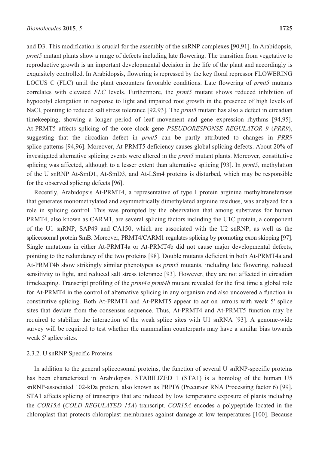and D3. This modification is crucial for the assembly of the snRNP complexes [90,91]. In Arabidopsis, *prmt5* mutant plants show a range of defects including late flowering. The transition from vegetative to reproductive growth is an important developmental decision in the life of the plant and accordingly is exquisitely controlled. In Arabidopsis, flowering is repressed by the key floral repressor FLOWERING LOCUS C (FLC) until the plant encounters favorable conditions. Late flowering of *prmt5* mutants correlates with elevated *FLC* levels. Furthermore, the *prmt5* mutant shows reduced inhibition of hypocotyl elongation in response to light and impaired root growth in the presence of high levels of NaCl, pointing to reduced salt stress tolerance [92,93]. The *prmt5* mutant has also a defect in circadian timekeeping, showing a longer period of leaf movement and gene expression rhythms [94,95]. At-PRMT5 affects splicing of the core clock gene *PSEUDORESPONSE REGULATOR 9* (*PRR9*), suggesting that the circadian defect in *prmt5* can be partly attributed to changes in *PRR9* splice patterns [94,96]. Moreover, At-PRMT5 deficiency causes global splicing defects. About 20% of investigated alternative splicing events were altered in the *prmt5* mutant plants. Moreover, constitutive splicing was affected, although to a lesser extent than alternative splicing [93]. In *prmt5*, methylation of the U snRNP At-SmD1, At-SmD3, and At-LSm4 proteins is disturbed, which may be responsible for the observed splicing defects [96].

Recently, Arabidopsis At-PRMT4, a representative of type I protein arginine methyltransferases that generates monomethylated and asymmetrically dimethylated arginine residues, was analyzed for a role in splicing control. This was prompted by the observation that among substrates for human PRMT4, also known as CARM1, are several splicing factors including the U1C protein, a component of the U1 snRNP, SAP49 and CA150, which are associated with the U2 snRNP, as well as the spliceosomal protein SmB. Moreover, PRMT4/CARM1 regulates splicing by promoting exon skipping [97]. Single mutations in either At-PRMT4a or At-PRMT4b did not cause major developmental defects, pointing to the redundancy of the two proteins [98]. Double mutants deficient in both At-PRMT4a and At-PRMT4b show strikingly similar phenotypes as *prmt5* mutants, including late flowering, reduced sensitivity to light, and reduced salt stress tolerance [93]. However, they are not affected in circadian timekeeping. Transcript profiling of the *prmt4a prmt4b* mutant revealed for the first time a global role for At-PRMT4 in the control of alternative splicing in any organism and also uncovered a function in constitutive splicing. Both At-PRMT4 and At-PRMT5 appear to act on introns with weak 5' splice sites that deviate from the consensus sequence. Thus, At-PRMT4 and At-PRMT5 function may be required to stabilize the interaction of the weak splice sites with U1 snRNA [93]. A genome-wide survey will be required to test whether the mammalian counterparts may have a similar bias towards weak 5' splice sites.

## 2.3.2. U snRNP Specific Proteins

In addition to the general spliceosomal proteins, the function of several U snRNP-specific proteins has been characterized in Arabidopsis. STABILIZED 1 (STA1) is a homolog of the human U5 snRNP-associated 102-kDa protein, also known as PRPF6 (Precursor RNA Processing factor 6) [99]. STA1 affects splicing of transcripts that are induced by low temperature exposure of plants including the *COR15A* (*COLD REGULATED 15A*) transcript. *COR15A* encodes a polypeptide located in the chloroplast that protects chloroplast membranes against damage at low temperatures [100]. Because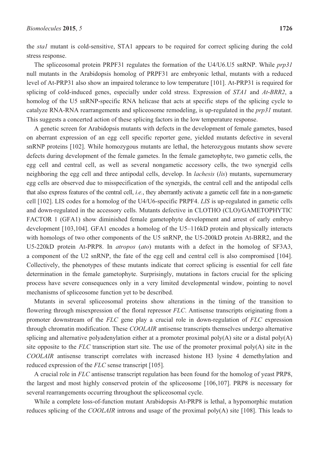the *sta1* mutant is cold-sensitive, STA1 appears to be required for correct splicing during the cold stress response.

The spliceosomal protein PRPF31 regulates the formation of the U4/U6.U5 snRNP. While *prp31* null mutants in the Arabidopsis homolog of PRPF31 are embryonic lethal, mutants with a reduced level of At-PRP31 also show an impaired tolerance to low temperature [101]. At-PRP31 is required for splicing of cold-induced genes, especially under cold stress. Expression of *STA1* and *At*-*BRR2*, a homolog of the U5 snRNP-specific RNA helicase that acts at specific steps of the splicing cycle to catalyze RNA-RNA rearrangements and spliceosome remodeling, is up-regulated in the *prp31* mutant. This suggests a concerted action of these splicing factors in the low temperature response.

A genetic screen for Arabidopsis mutants with defects in the development of female gametes, based on aberrant expression of an egg cell specific reporter gene, yielded mutants defective in several snRNP proteins [102]. While homozygous mutants are lethal, the heterozygous mutants show severe defects during development of the female gametes. In the female gametophyte, two gametic cells, the egg cell and central cell, as well as several nongametic accessory cells, the two synergid cells neighboring the egg cell and three antipodal cells, develop. In *lachesis* (*lis*) mutants, supernumerary egg cells are observed due to misspecification of the synergids, the central cell and the antipodal cells that also express features of the central cell, *i.e.*, they aberrantly activate a gametic cell fate in a non-gametic cell [102]. LIS codes for a homolog of the U4/U6-specific PRPF4. *LIS* is up-regulated in gametic cells and down-regulated in the accessory cells. Mutants defective in CLOTHO (CLO)/GAMETOPHYTIC FACTOR 1 (GFA1) show diminished female gametophyte development and arrest of early embryo development [103,104]. GFA1 encodes a homolog of the U5–116kD protein and physically interacts with homologs of two other components of the U5 snRNP, the U5-200kD protein At-BRR2, and the U5-220kD protein At-PRP8. In *atropos* (*ato*) mutants with a defect in the homolog of SF3A3, a component of the U2 snRNP, the fate of the egg cell and central cell is also compromised [104]. Collectively, the phenotypes of these mutants indicate that correct splicing is essential for cell fate determination in the female gametophyte. Surprisingly, mutations in factors crucial for the splicing process have severe consequences only in a very limited developmental window, pointing to novel mechanisms of spliceosome function yet to be described.

Mutants in several spliceosomal proteins show alterations in the timing of the transition to flowering through misexpression of the floral repressor *FLC*. Antisense transcripts originating from a promoter downstream of the *FLC* gene play a crucial role in down-regulation of *FLC* expression through chromatin modification. These *COOLAIR* antisense transcripts themselves undergo alternative splicing and alternative polyadenylation either at a promoter proximal poly(A) site or a distal poly(A) site opposite to the *FLC* transcription start site. The use of the promoter proximal poly(A) site in the *COOLAIR* antisense transcript correlates with increased histone H3 lysine 4 demethylation and reduced expression of the *FLC* sense transcript [105].

A crucial role in *FLC* antisense transcript regulation has been found for the homolog of yeast PRP8, the largest and most highly conserved protein of the spliceosome [106,107]. PRP8 is necessary for several rearrangements occurring throughout the spliceosomal cycle.

While a complete loss-of-function mutant Arabidopsis At-PRP8 is lethal, a hypomorphic mutation reduces splicing of the *COOLAIR* introns and usage of the proximal poly(A) site [108]. This leads to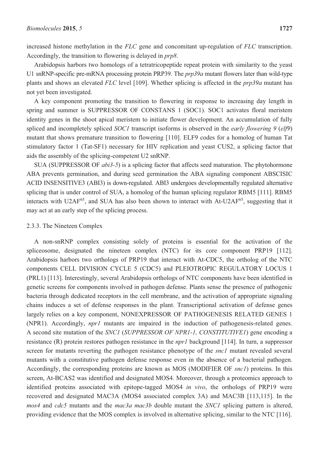increased histone methylation in the *FLC* gene and concomitant up-regulation of *FLC* transcription. Accordingly, the transition to flowering is delayed in *prp8*.

Arabidopsis harbors two homologs of a tetratricopeptide repeat protein with similarity to the yeast U1 snRNP-specific pre-mRNA processing protein PRP39. The *prp39a* mutant flowers later than wild-type plants and shows an elevated *FLC* level [109]. Whether splicing is affected in the *prp39a* mutant has not yet been investigated.

A key component promoting the transition to flowering in response to increasing day length in spring and summer is SUPPRESSOR OF CONSTANS 1 (SOC1). SOC1 activates floral meristem identity genes in the shoot apical meristem to initiate flower development. An accumulation of fully spliced and incompletely spliced *SOC1* transcript isoforms is observed in the *early flowering 9* (*elf9*) mutant that shows premature transition to flowering [110]. ELF9 codes for a homolog of human Tat stimulatory factor 1 (Tat-SF1) necessary for HIV replication and yeast CUS2, a splicing factor that aids the assembly of the splicing-competent U2 snRNP.

SUA (SUPPRESSOR OF *abi3-5*) is a splicing factor that affects seed maturation. The phytohormone ABA prevents germination, and during seed germination the ABA signaling component ABSCISIC ACID INSENSITIVE3 (ABI3) is down-regulated. ABI3 undergoes developmentally regulated alternative splicing that is under control of SUA, a homolog of the human splicing regulator RBM5 [111]. RBM5 interacts with U2AF<sup>65</sup>, and SUA has also been shown to interact with At-U2AF<sup>65</sup>, suggesting that it may act at an early step of the splicing process.

## 2.3.3. The Nineteen Complex

A non-snRNP complex consisting solely of proteins is essential for the activation of the spliceosome, designated the nineteen complex (NTC) for its core component PRP19 [112]. Arabidopsis harbors two orthologs of PRP19 that interact with At-CDC5, the ortholog of the NTC components CELL DIVISION CYCLE 5 (CDC5) and PLEIOTROPIC REGULATORY LOCUS 1 (PRL1) [113]. Interestingly, several Arabidopsis orthologs of NTC components have been identified in genetic screens for components involved in pathogen defense. Plants sense the presence of pathogenic bacteria through dedicated receptors in the cell membrane, and the activation of appropriate signaling chains induces a set of defense responses in the plant. Transcriptional activation of defense genes largely relies on a key component, NONEXPRESSOR OF PATHOGENESIS RELATED GENES 1 (NPR1). Accordingly, *npr1* mutants are impaired in the induction of pathogenesis-related genes. A second site mutation of the *SNC1* (*SUPPRESSOR OF NPR1-1, CONSTITUTIVE1*) gene encoding a resistance (R) protein restores pathogen resistance in the *npr1* background [114]. In turn, a suppressor screen for mutants reverting the pathogen resistance phenotype of the *snc1* mutant revealed several mutants with a constitutive pathogen defense response even in the absence of a bacterial pathogen. Accordingly, the corresponding proteins are known as MOS (MODIFIER OF *snc1*) proteins. In this screen, At-BCAS2 was identified and designated MOS4. Moreover, through a proteomics approach to identified proteins associated with epitope-tagged MOS4 *in vivo*, the orthologs of PRP19 were recovered and designated MAC3A (MOS4 associated complex 3A) and MAC3B [113,115]. In the *mos4* and *cdc5* mutants and the *mac3a mac3b* double mutant the *SNC1* splicing pattern is altered, providing evidence that the MOS complex is involved in alternative splicing, similar to the NTC [116].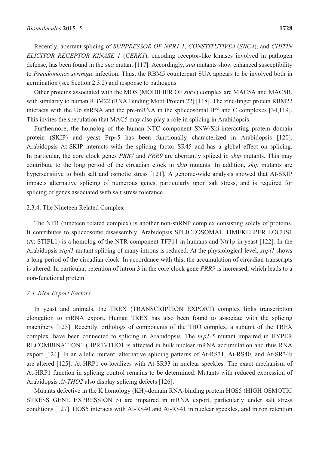Recently, aberrant splicing of *SUPPRESSOR OF NPR1-1*, *CONSTITUTIVE4* (*SNC4*), and *CHITIN ELICITOR RECEPTOR KINASE 1* (*CERK1*), encoding receptor-like kinases involved in pathogen defense, has been found in the *sua* mutant [117]. Accordingly, *sua* mutants show enhanced susceptibility to *Pseudomonas syringae* infection. Thus, the RBM5 counterpart SUA appears to be involved both in germination (see Section 2.3.2) and response to pathogens.

Other proteins associated with the MOS (MODIFIER OF *snc1*) complex are MAC5A and MAC5B, with similarity to human RBM22 (RNA Binding Motif Protein 22) [118]. The zinc-finger protein RBM22 interacts with the U6 snRNA and the pre-mRNA in the spliceosomal  $B<sup>act</sup>$  and C complexes [34,119]. This invites the speculation that MAC5 may also play a role in splicing in Arabidopsis.

Furthermore, the homolog of the human NTC component SNW/Ski-interacting protein domain protein (SKIP) and yeast Prp45 has been functionally characterized in Arabidopsis [120]. Arabidopsis At-SKIP interacts with the splicing factor SR45 and has a global effect on splicing. In particular, the core clock genes *PRR7* and *PRR9* are aberrantly spliced in *skip* mutants. This may contribute to the long period of the circadian clock in *skip* mutants. In addition, *skip* mutants are hypersensitive to both salt and osmotic stress [121]. A genome-wide analysis showed that At-SKIP impacts alternative splicing of numerous genes, particularly upon salt stress, and is required for splicing of genes associated with salt stress tolerance.

## 2.3.4. The Nineteen Related Complex

The NTR (nineteen related complex) is another non-snRNP complex consisting solely of proteins. It contributes to spliceosome disassembly. Arabidopsis SPLICEOSOMAL TIMEKEEPER LOCUS1 (At-STIPL1) is a homolog of the NTR component TFP11 in humans and Ntr1p in yeast [122]. In the Arabidopsis *stipl1* mutant splicing of many introns is reduced. At the physiological level, *stipl1* shows a long period of the circadian clock. In accordance with this, the accumulation of circadian transcripts is altered. In particular, retention of intron 3 in the core clock gene *PRR9* is increased, which leads to a non-functional protein.

## *2.4. RNA Export Factors*

In yeast and animals, the TREX (TRANSCRIPTION EXPORT) complex links transcription elongation to mRNA export. Human TREX has also been found to associate with the splicing machinery [123]. Recently, orthologs of components of the THO complex, a subunit of the TREX complex, have been connected to splicing in Arabidopsis. The *hrp1-5* mutant impaired in HYPER RECOMBINATION1 (HPR1)/THO1 is affected in bulk nuclear mRNA accumulation and thus RNA export [124]. In an allelic mutant, alternative splicing patterns of At-RS31, At-RS40, and At-SR34b are altered [125]. At-HRP1 co-localizes with At-SR33 in nuclear speckles. The exact mechanism of At-HRP1 function in splicing control remains to be determined. Mutants with reduced expression of Arabidopsis *At-THO2* also display splicing defects [126].

Mutants defective in the K homology (KH)-domain RNA-binding protein HOS5 (HIGH OSMOTIC STRESS GENE EXPRESSION 5) are impaired in mRNA export, particularly under salt stress conditions [127]. HOS5 interacts with At-RS40 and At-RS41 in nuclear speckles, and intron retention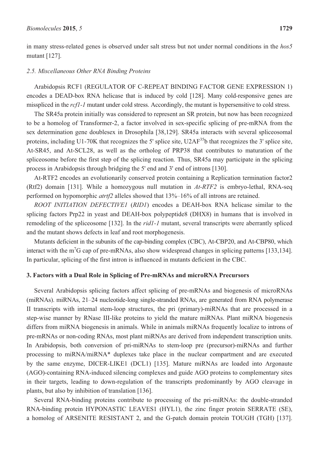in many stress-related genes is observed under salt stress but not under normal conditions in the *hos5*  mutant [127].

#### *2.5. Miscellaneous Other RNA Binding Proteins*

Arabidopsis RCF1 (REGULATOR OF C-REPEAT BINDING FACTOR GENE EXPRESSION 1) encodes a DEAD-box RNA helicase that is induced by cold [128]. Many cold-responsive genes are misspliced in the *rcf1-1* mutant under cold stress. Accordingly, the mutant is hypersensitive to cold stress.

The SR45a protein initially was considered to represent an SR protein, but now has been recognized to be a homolog of Transformer-2, a factor involved in sex-specific splicing of pre-mRNA from the sex determination gene doublesex in Drosophila [38,129]. SR45a interacts with several spliceosomal proteins, including U1-70K that recognizes the 5' splice site, U2AF<sup>35</sup>b that recognizes the 3' splice site, At-SR45, and At-SCL28, as well as the ortholog of PRP38 that contributes to maturation of the spliceosome before the first step of the splicing reaction. Thus, SR45a may participate in the splicing process in Arabidopsis through bridging the 5' end and 3' end of introns [130].

At-RTF2 encodes an evolutionarily conserved protein containing a Replication termination factor2 (Rtf2) domain [131]. While a homozygous null mutation in *At-RTF2* is embryo-lethal, RNA-seq performed on hypomorphic *atrtf2* alleles showed that 13%–16% of all introns are retained.

*ROOT INITIATION DEFECTIVE1* (*RID1*) encodes a DEAH-box RNA helicase similar to the splicing factors Prp22 in yeast and DEAH-box polypeptide8 (DHX8) in humans that is involved in remodeling of the spliceosome [132]. In the *rid1-1* mutant, several transcripts were aberrantly spliced and the mutant shows defects in leaf and root morphogenesis.

Mutants deficient in the subunits of the cap-binding complex (CBC), At-CBP20, and At-CBP80, which interact with the  $m<sup>7</sup>G$  cap of pre-mRNAs, also show widespread changes in splicing patterns [133,134]. In particular, splicing of the first intron is influenced in mutants deficient in the CBC.

## **3. Factors with a Dual Role in Splicing of Pre-mRNAs and microRNA Precursors**

Several Arabidopsis splicing factors affect splicing of pre-mRNAs and biogenesis of microRNAs (miRNAs). miRNAs, 21–24 nucleotide-long single-stranded RNAs, are generated from RNA polymerase II transcripts with internal stem-loop structures, the pri (primary)-miRNAs that are processed in a step-wise manner by RNase III-like proteins to yield the mature miRNAs. Plant miRNA biogenesis differs from miRNA biogenesis in animals. While in animals miRNAs frequently localize to introns of pre-mRNAs or non-coding RNAs, most plant miRNAs are derived from independent transcription units. In Arabidopsis, both conversion of pri-miRNAs to stem-loop pre (precursor)-miRNAs and further processing to miRNA/miRNA\* duplexes take place in the nuclear compartment and are executed by the same enzyme, DICER-LIKE1 (DCL1) [135]. Mature miRNAs are loaded into Argonaute (AGO)-containing RNA-induced silencing complexes and guide AGO proteins to complementary sites in their targets, leading to down-regulation of the transcripts predominantly by AGO cleavage in plants, but also by inhibition of translation [136].

Several RNA-binding proteins contribute to processing of the pri-miRNAs: the double-stranded RNA-binding protein HYPONASTIC LEAVES1 (HYL1), the zinc finger protein SERRATE (SE), a homolog of ARSENITE RESISTANT 2, and the G-patch domain protein TOUGH (TGH) [137].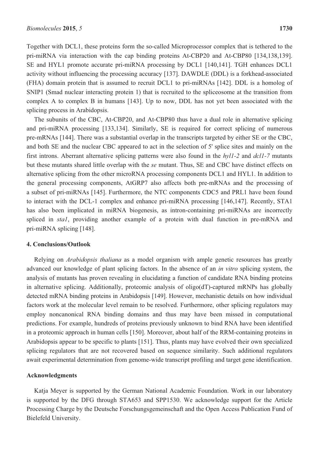Together with DCL1, these proteins form the so-called Microprocessor complex that is tethered to the pri-miRNA via interaction with the cap binding proteins At-CBP20 and At-CBP80 [134,138,139]. SE and HYL1 promote accurate pri-miRNA processing by DCL1 [140,141]. TGH enhances DCL1 activity without influencing the processing accuracy [137]. DAWDLE (DDL) is a forkhead-associated (FHA) domain protein that is assumed to recruit DCL1 to pri-miRNAs [142]. DDL is a homolog of SNIP1 (Smad nuclear interacting protein 1) that is recruited to the spliceosome at the transition from complex A to complex B in humans [143]. Up to now, DDL has not yet been associated with the splicing process in Arabidopsis.

The subunits of the CBC, At-CBP20, and At-CBP80 thus have a dual role in alternative splicing and pri-miRNA processing [133,134]. Similarly, SE is required for correct splicing of numerous pre-mRNAs [144]. There was a substantial overlap in the transcripts targeted by either SE or the CBC, and both SE and the nuclear CBC appeared to act in the selection of 5' splice sites and mainly on the first introns. Aberrant alternative splicing patterns were also found in the *hyl1-2* and *dcl1-7* mutants but these mutants shared little overlap with the *se* mutant. Thus, SE and CBC have distinct effects on alternative splicing from the other microRNA processing components DCL1 and HYL1. In addition to the general processing components, AtGRP7 also affects both pre-mRNAs and the processing of a subset of pri-miRNAs [145]. Furthermore, the NTC components CDC5 and PRL1 have been found to interact with the DCL-1 complex and enhance pri-miRNA processing [146,147]. Recently, STA1 has also been implicated in miRNA biogenesis, as intron-containing pri-miRNAs are incorrectly spliced in *sta1*, providing another example of a protein with dual function in pre-mRNA and pri-miRNA splicing [148].

## **4. Conclusions/Outlook**

Relying on *Arabidopsis thaliana* as a model organism with ample genetic resources has greatly advanced our knowledge of plant splicing factors. In the absence of an *in vitro* splicing system, the analysis of mutants has proven revealing in elucidating a function of candidate RNA binding proteins in alternative splicing. Additionally, proteomic analysis of oligo(dT)-captured mRNPs has globally detected mRNA binding proteins in Arabidopsis [149]. However, mechanistic details on how individual factors work at the molecular level remain to be resolved. Furthermore, other splicing regulators may employ noncanonical RNA binding domains and thus may have been missed in computational predictions. For example, hundreds of proteins previously unknown to bind RNA have been identified in a proteomic approach in human cells [150]. Moreover, about half of the RRM-containing proteins in Arabidopsis appear to be specific to plants [151]. Thus, plants may have evolved their own specialized splicing regulators that are not recovered based on sequence similarity. Such additional regulators await experimental determination from genome-wide transcript profiling and target gene identification.

## **Acknowledgments**

Katja Meyer is supported by the German National Academic Foundation. Work in our laboratory is supported by the DFG through STA653 and SPP1530. We acknowledge support for the Article Processing Charge by the Deutsche Forschungsgemeinschaft and the Open Access Publication Fund of Bielefeld University.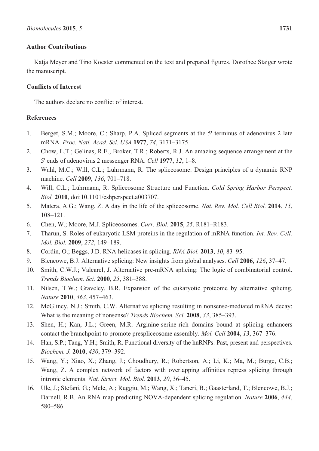# **Author Contributions**

Katja Meyer and Tino Koester commented on the text and prepared figures. Dorothee Staiger wrote the manuscript.

# **Conflicts of Interest**

The authors declare no conflict of interest.

# **References**

- 1. Berget, S.M.; Moore, C.; Sharp, P.A. Spliced segments at the 5' terminus of adenovirus 2 late mRNA. *Proc. Natl. Acad. Sci. USA* **1977**, *74*, 3171–3175.
- 2. Chow, L.T.; Gelinas, R.E.; Broker, T.R.; Roberts, R.J. An amazing sequence arrangement at the 5' ends of adenovirus 2 messenger RNA. *Cell* **1977**, *12*, 1–8.
- 3. Wahl, M.C.; Will, C.L.; Lührmann, R. The spliceosome: Design principles of a dynamic RNP machine. *Cell* **2009**, *136*, 701–718.
- 4. Will, C.L.; Lührmann, R. Spliceosome Structure and Function. *Cold Spring Harbor Perspect. Biol.* **2010**, doi:10.1101/cshperspect.a003707.
- 5. Matera, A.G.; Wang, Z. A day in the life of the spliceosome. *Nat. Rev. Mol. Cell Biol.* **2014**, *15*, 108–121.
- 6. Chen, W.; Moore, M.J. Spliceosomes. *Curr. Biol.* **2015**, *25*, R181–R183.
- 7. Tharun, S. Roles of eukaryotic LSM proteins in the regulation of mRNA function. *Int. Rev. Cell. Mol. Biol.* **2009**, *272*, 149–189.
- 8. Cordin, O.; Beggs, J.D. RNA helicases in splicing. *RNA Biol.* **2013**, *10*, 83–95.
- 9. Blencowe, B.J. Alternative splicing: New insights from global analyses. *Cell* **2006**, *126*, 37–47.
- 10. Smith, C.W.J.; Valcarel, J. Alternative pre-mRNA splicing: The logic of combinatorial control. *Trends Biochem. Sci.* **2000**, *25*, 381–388.
- 11. Nilsen, T.W.; Graveley, B.R. Expansion of the eukaryotic proteome by alternative splicing. *Nature* **2010**, *463*, 457–463.
- 12. McGlincy, N.J.; Smith, C.W. Alternative splicing resulting in nonsense-mediated mRNA decay: What is the meaning of nonsense? *Trends Biochem. Sci.* **2008**, *33*, 385–393.
- 13. Shen, H.; Kan, J.L.; Green, M.R. Arginine-serine-rich domains bound at splicing enhancers contact the branchpoint to promote prespliceosome assembly. *Mol. Cell* **2004**, *13*, 367–376.
- 14. Han, S.P.; Tang, Y.H.; Smith, R. Functional diversity of the hnRNPs: Past, present and perspectives. *Biochem. J.* **2010**, *430*, 379–392.
- 15. Wang, Y.; Xiao, X.; Zhang, J.; Choudhury, R.; Robertson, A.; Li, K.; Ma, M.; Burge, C.B.; Wang, Z. A complex network of factors with overlapping affinities repress splicing through intronic elements. *Nat. Struct. Mol. Biol.* **2013**, *20*, 36–45.
- 16. Ule, J.; Stefani, G.; Mele, A.; Ruggiu, M.; Wang, X.; Taneri, B.; Gaasterland, T.; Blencowe, B.J.; Darnell, R.B. An RNA map predicting NOVA-dependent splicing regulation. *Nature* **2006**, *444*, 580–586.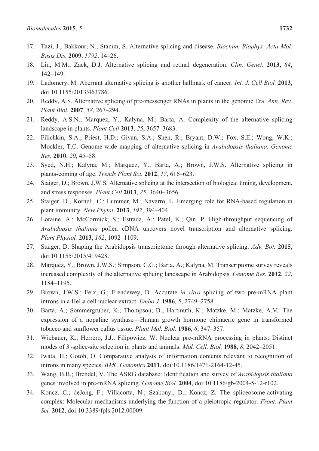- 17. Tazi, J.; Bakkour, N.; Stamm, S. Alternative splicing and disease. *Biochim. Biophys. Acta Mol. Basis Dis.* **2009**, *1792*, 14–26.
- 18. Liu, M.M.; Zack, D.J. Alternative splicing and retinal degeneration. *Clin. Genet.* **2013**, *84*, 142–149.
- 19. Ladomery, M. Aberrant alternative splicing is another hallmark of cancer. *Int. J. Cell Biol.* **2013**, doi:10.1155/2013/463786.
- 20. Reddy, A.S. Alternative splicing of pre-messenger RNAs in plants in the genomic Era. *Ann. Rev. Plant Biol.* **2007**, *58*, 267–294.
- 21. Reddy, A.S.N.; Marquez, Y.; Kalyna, M.; Barta, A. Complexity of the alternative splicing landscape in plants. *Plant Cell* **2013**, *25*, 3657–3683.
- 22. Filichkin, S.A.; Priest, H.D.; Givan, S.A.; Shen, R.; Bryant, D.W.; Fox, S.E.; Wong, W.K.; Mockler, T.C. Genome-wide mapping of alternative splicing in *Arabidopsis thaliana*. *Genome Res.* **2010**, *20*, 45–58.
- 23. Syed, N.H.; Kalyna, M.; Marquez, Y.; Barta, A.; Brown, J.W.S. Alternative splicing in plants-coming of age. *Trends Plant Sci.* **2012**, *17*, 616–623.
- 24. Staiger, D.; Brown, J.W.S. Alternative splicing at the intersection of biological timing, development, and stress responses. *Plant Cell* **2013**, *25*, 3640–3656.
- 25. Staiger, D.; Korneli, C.; Lummer, M.; Navarro, L. Emerging role for RNA-based regulation in plant immunity. *New Phytol.* **2013**, *197*, 394–404.
- 26. Loraine, A.; McCormick, S.; Estrada, A.; Patel, K.; Qin, P. High-throughput sequencing of *Arabidopsis thaliana* pollen cDNA uncovers novel transcription and alternative splicing. *Plant Physiol.* **2013**, *162*, 1092–1109.
- 27. Staiger, D. Shaping the Arabidopsis transcriptome through alternative splicing. *Adv. Bot.* **2015**, doi:10.1155/2015/419428.
- 28. Marquez, Y.; Brown, J.W.S.; Simpson, C.G.; Barta, A.; Kalyna, M. Transcriptome survey reveals increased complexity of the alternative splicing landscape in Arabidopsis. *Genome Res.* **2012**, *22*, 1184–1195.
- 29. Brown, J.W.S.; Feix, G.; Frendewey, D. Accurate *in vitro* splicing of two pre-mRNA plant introns in a HeLa cell nuclear extract. *Embo J.* **1986**, *5*, 2749–2758.
- 30. Barta, A.; Sommergruber, K.; Thompson, D.; Hartmuth, K.; Matzke, M.; Matzke, A.M. The expression of a nopaline synthase—Human growth hormone chimaeric gene in transformed tobacco and sunflower callus tissue. *Plant Mol. Biol.* **1986**, *6*, 347–357.
- 31. Wiebauer, K.; Herrero, J.J.; Filipowicz, W. Nuclear pre-mRNA processing in plants: Distinct modes of 3'-splice-site selection in plants and animals. *Mol. Cell. Biol.* **1988**, *8*, 2042–2051.
- 32. Iwata, H.; Gotoh, O. Comparative analysis of information contents relevant to recognition of introns in many species. *BMC Genomics* **2011**, doi:10.1186/1471-2164-12-45.
- 33. Wang, B.B.; Brendel, V. The ASRG database: Identification and survey of *Arabidopsis thaliana*  genes involved in pre-mRNA splicing. *Genome Biol.* **2004**, doi:10.1186/gb-2004-5-12-r102.
- 34. Koncz, C.; deJong, F.; Villacorta, N.; Szakonyi, D.; Koncz, Z. The spliceosome-activating complex: Molecular mechanisms underlying the function of a pleiotropic regulator. *Front. Plant Sci.* **2012**, doi:10.3389/fpls.2012.00009.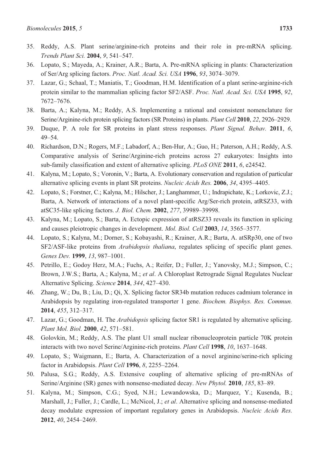- 35. Reddy, A.S. Plant serine/arginine-rich proteins and their role in pre-mRNA splicing. *Trends Plant Sci.* **2004**, *9*, 541–547.
- 36. Lopato, S.; Mayeda, A.; Krainer, A.R.; Barta, A. Pre-mRNA splicing in plants: Characterization of Ser/Arg splicing factors. *Proc. Natl. Acad. Sci. USA* **1996**, *93*, 3074–3079.
- 37. Lazar, G.; Schaal, T.; Maniatis, T.; Goodman, H.M. Identification of a plant serine-arginine-rich protein similar to the mammalian splicing factor SF2/ASF. *Proc. Natl. Acad. Sci. USA* **1995**, *92*, 7672–7676.
- 38. Barta, A.; Kalyna, M.; Reddy, A.S. Implementing a rational and consistent nomenclature for Serine/Arginine-rich protein splicing factors (SR Proteins) in plants. *Plant Cell* **2010**, *22*, 2926–2929.
- 39. Duque, P. A role for SR proteins in plant stress responses. *Plant Signal. Behav.* **2011**, *6*, 49–54.
- 40. Richardson, D.N.; Rogers, M.F.; Labadorf, A.; Ben-Hur, A.; Guo, H.; Paterson, A.H.; Reddy, A.S. Comparative analysis of Serine/Arginine-rich proteins across 27 eukaryotes: Insights into sub-family classification and extent of alternative splicing. *PLoS ONE* **2011**, *6*, e24542.
- 41. Kalyna, M.; Lopato, S.; Voronin, V.; Barta, A. Evolutionary conservation and regulation of particular alternative splicing events in plant SR proteins. *Nucleic Acids Res.* **2006**, *34*, 4395–4405.
- 42. Lopato, S.; Forstner, C.; Kalyna, M.; Hilscher, J.; Langhammer, U.; Indrapichate, K.; Lorkovic, Z.J.; Barta, A. Network of interactions of a novel plant-specific Arg/Ser-rich protein, atRSZ33, with atSC35-like splicing factors. *J. Biol. Chem.* **2002**, *277*, 39989–39998.
- 43. Kalyna, M.; Lopato, S.; Barta, A. Ectopic expression of atRSZ33 reveals its function in splicing and causes pleiotropic changes in development. *Mol. Biol. Cell* **2003**, *14*, 3565–3577.
- 44. Lopato, S.; Kalyna, M.; Dorner, S.; Kobayashi, R.; Krainer, A.R.; Barta, A. atSRp30, one of two SF2/ASF-like proteins from *Arabidopsis thaliana*, regulates splicing of specific plant genes. *Genes Dev.* **1999**, *13*, 987–1001.
- 45. Petrillo, E.; Godoy Herz, M.A.; Fuchs, A.; Reifer, D.; Fuller, J.; Yanovsky, M.J.; Simpson, C.; Brown, J.W.S.; Barta, A.; Kalyna, M.; *et al*. A Chloroplast Retrograde Signal Regulates Nuclear Alternative Splicing. *Science* **2014**, *344*, 427–430.
- 46. Zhang, W.; Du, B.; Liu, D.; Qi, X. Splicing factor SR34b mutation reduces cadmium tolerance in Arabidopsis by regulating iron-regulated transporter 1 gene. *Biochem. Biophys. Res. Commun.*  **2014**, *455*, 312–317.
- 47. Lazar, G.; Goodman, H. The *Arabidopsis* splicing factor SR1 is regulated by alternative splicing. *Plant Mol. Biol.* **2000**, *42*, 571–581.
- 48. Golovkin, M.; Reddy, A.S. The plant U1 small nuclear ribonucleoprotein particle 70K protein interacts with two novel Serine/Arginine-rich proteins. *Plant Cell* **1998**, *10*, 1637–1648.
- 49. Lopato, S.; Waigmann, E.; Barta, A. Characterization of a novel arginine/serine-rich splicing factor in Arabidopsis. *Plant Cell* **1996**, *8*, 2255–2264.
- 50. Palusa, S.G.; Reddy, A.S. Extensive coupling of alternative splicing of pre-mRNAs of Serine/Arginine (SR) genes with nonsense-mediated decay. *New Phytol.* **2010**, *185*, 83–89.
- 51. Kalyna, M.; Simpson, C.G.; Syed, N.H.; Lewandowska, D.; Marquez, Y.; Kusenda, B.; Marshall, J.; Fuller, J.; Cardle, L.; McNicol, J.; *et al*. Alternative splicing and nonsense-mediated decay modulate expression of important regulatory genes in Arabidopsis. *Nucleic Acids Res.*  **2012**, *40*, 2454–2469.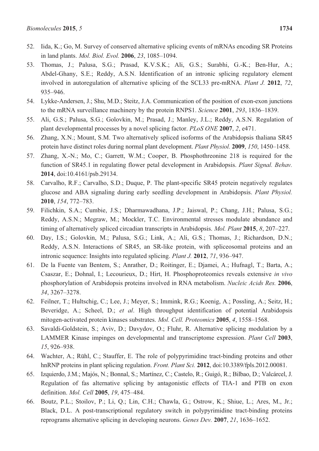- 52. Iida, K.; Go, M. Survey of conserved alternative splicing events of mRNAs encoding SR Proteins in land plants. *Mol. Biol. Evol.* **2006**, *23*, 1085–1094.
- 53. Thomas, J.; Palusa, S.G.; Prasad, K.V.S.K.; Ali, G.S.; Surabhi, G.-K.; Ben-Hur, A.; Abdel-Ghany, S.E.; Reddy, A.S.N. Identification of an intronic splicing regulatory element involved in autoregulation of alternative splicing of the SCL33 pre-mRNA. *Plant J.* **2012**, *72*, 935–946.
- 54. Lykke-Andersen, J.; Shu, M.D.; Steitz, J.A. Communication of the position of exon-exon junctions to the mRNA surveillance machinery by the protein RNPS1. *Science* **2001**, *293*, 1836–1839.
- 55. Ali, G.S.; Palusa, S.G.; Golovkin, M.; Prasad, J.; Manley, J.L.; Reddy, A.S.N. Regulation of plant developmental processes by a novel splicing factor. *PLoS ONE* **2007**, *2*, e471.
- 56. Zhang, X.N.; Mount, S.M. Two alternatively spliced isoforms of the Arabidopsis thaliana SR45 protein have distinct roles during normal plant development. *Plant Physiol.* **2009**, *150*, 1450–1458.
- 57. Zhang, X.-N.; Mo, C.; Garrett, W.M.; Cooper, B. Phosphothreonine 218 is required for the function of SR45.1 in regulating flower petal development in Arabidopsis. *Plant Signal. Behav.*  **2014**, doi:10.4161/psb.29134.
- 58. Carvalho, R.F.; Carvalho, S.D.; Duque, P. The plant-specific SR45 protein negatively regulates glucose and ABA signaling during early seedling development in Arabidopsis. *Plant Physiol.*  **2010**, *154*, 772–783.
- 59. Filichkin, S.A.; Cumbie, J.S.; Dharmawadhana, J.P.; Jaiswal, P.; Chang, J.H.; Palusa, S.G.; Reddy, A.S.N.; Megraw, M.; Mockler, T.C. Environmental stresses modulate abundance and timing of alternatively spliced circadian transcripts in Arabidopsis. *Mol. Plant* **2015**, *8*, 207–227.
- 60. Day, I.S.; Golovkin, M.; Palusa, S.G.; Link, A.; Ali, G.S.; Thomas, J.; Richardson, D.N.; Reddy, A.S.N. Interactions of SR45, an SR-like protein, with spliceosomal proteins and an intronic sequence: Insights into regulated splicing. *Plant J.* **2012**, *71*, 936–947.
- 61. De la Fuente van Bentem, S.; Anrather, D.; Roitinger, E.; Djamei, A.; Hufnagl, T.; Barta, A.; Csaszar, E.; Dohnal, I.; Lecourieux, D.; Hirt, H. Phosphoproteomics reveals extensive *in vivo* phosphorylation of Arabidopsis proteins involved in RNA metabolism. *Nucleic Acids Res.* **2006**, *34*, 3267–3278.
- 62. Feilner, T.; Hultschig, C.; Lee, J.; Meyer, S.; Immink, R.G.; Koenig, A.; Possling, A.; Seitz, H.; Beveridge, A.; Scheel, D.; *et al*. High throughput identification of potential Arabidopsis mitogen-activated protein kinases substrates. *Mol. Cell. Proteomics* **2005**, *4*, 1558–1568.
- 63. Savaldi-Goldstein, S.; Aviv, D.; Davydov, O.; Fluhr, R. Alternative splicing modulation by a LAMMER Kinase impinges on developmental and transcriptome expression. *Plant Cell* **2003**, *15*, 926–938.
- 64. Wachter, A.; Rühl, C.; Stauffer, E. The role of polypyrimidine tract-binding proteins and other hnRNP proteins in plant splicing regulation. *Front. Plant Sci.* **2012**, doi:10.3389/fpls.2012.00081.
- 65. Izquierdo, J.M.; Majós, N.; Bonnal, S.; Martínez, C.; Castelo, R.; Guigó, R.; Bilbao, D.; Valcárcel, J. Regulation of fas alternative splicing by antagonistic effects of TIA-1 and PTB on exon definition. *Mol. Cell* **2005**, *19*, 475–484.
- 66. Boutz, P.L.; Stoilov, P.; Li, Q.; Lin, C.H.; Chawla, G.; Ostrow, K.; Shiue, L.; Ares, M., Jr.; Black, D.L. A post-transcriptional regulatory switch in polypyrimidine tract-binding proteins reprograms alternative splicing in developing neurons. *Genes Dev.* **2007**, *21*, 1636–1652.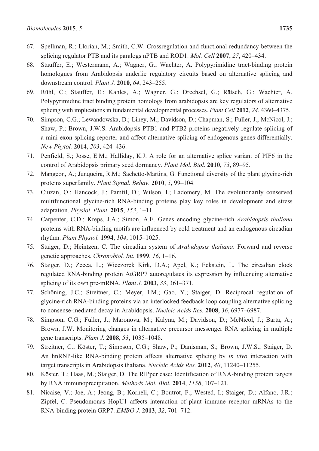- 67. Spellman, R.; Llorian, M.; Smith, C.W. Crossregulation and functional redundancy between the splicing regulator PTB and its paralogs nPTB and ROD1. *Mol. Cell* **2007**, *27*, 420–434.
- 68. Stauffer, E.; Westermann, A.; Wagner, G.; Wachter, A. Polypyrimidine tract-binding protein homologues from Arabidopsis underlie regulatory circuits based on alternative splicing and downstream control. *Plant J.* **2010**, *64*, 243–255.
- 69. Rühl, C.; Stauffer, E.; Kahles, A.; Wagner, G.; Drechsel, G.; Rätsch, G.; Wachter, A. Polypyrimidine tract binding protein homologs from arabidopsis are key regulators of alternative splicing with implications in fundamental developmental processes. *Plant Cell* **2012**, *24*, 4360–4375.
- 70. Simpson, C.G.; Lewandowska, D.; Liney, M.; Davidson, D.; Chapman, S.; Fuller, J.; McNicol, J.; Shaw, P.; Brown, J.W.S. Arabidopsis PTB1 and PTB2 proteins negatively regulate splicing of a mini-exon splicing reporter and affect alternative splicing of endogenous genes differentially. *New Phytol.* **2014**, *203*, 424–436.
- 71. Penfield, S.; Josse, E.M.; Halliday, K.J. A role for an alternative splice variant of PIF6 in the control of Arabidopsis primary seed dormancy. *Plant Mol. Biol.* **2010**, *73*, 89–95.
- 72. Mangeon, A.; Junqueira, R.M.; Sachetto-Martins, G. Functional diversity of the plant glycine-rich proteins superfamily. *Plant Signal. Behav.* **2010**, *5*, 99–104.
- 73. Ciuzan, O.; Hancock, J.; Pamfil, D.; Wilson, I.; Ladomery, M. The evolutionarily conserved multifunctional glycine-rich RNA-binding proteins play key roles in development and stress adaptation. *Physiol. Plant.* **2015**, *153*, 1–11.
- 74. Carpenter, C.D.; Kreps, J.A.; Simon, A.E. Genes encoding glycine-rich *Arabidopsis thaliana* proteins with RNA-binding motifs are influenced by cold treatment and an endogenous circadian rhythm. *Plant Physiol.* **1994**, *104*, 1015–1025.
- 75. Staiger, D.; Heintzen, C. The circadian system of *Arabidopsis thaliana*: Forward and reverse genetic approaches. *Chronobiol. Int.* **1999**, *16*, 1–16.
- 76. Staiger, D.; Zecca, L.; Wieczorek Kirk, D.A.; Apel, K.; Eckstein, L. The circadian clock regulated RNA-binding protein AtGRP7 autoregulates its expression by influencing alternative splicing of its own pre-mRNA. *Plant J.* **2003**, *33*, 361–371.
- 77. Schöning, J.C.; Streitner, C.; Meyer, I.M.; Gao, Y.; Staiger, D. Reciprocal regulation of glycine-rich RNA-binding proteins via an interlocked feedback loop coupling alternative splicing to nonsense-mediated decay in Arabidopsis. *Nucleic Acids Res.* **2008**, *36*, 6977–6987.
- 78. Simpson, C.G.; Fuller, J.; Maronova, M.; Kalyna, M.; Davidson, D.; McNicol, J.; Barta, A.; Brown, J.W. Monitoring changes in alternative precursor messenger RNA splicing in multiple gene transcripts. *Plant J.* **2008**, *53*, 1035–1048.
- 79. Streitner, C.; Köster, T.; Simpson, C.G.; Shaw, P.; Danisman, S.; Brown, J.W.S.; Staiger, D. An hnRNP-like RNA-binding protein affects alternative splicing by *in vivo* interaction with target transcripts in Arabidopsis thaliana. *Nucleic Acids Res.* **2012**, *40*, 11240–11255.
- 80. Köster, T.; Haas, M.; Staiger, D. The RIPper case: Identification of RNA-binding protein targets by RNA immunoprecipitation. *Methods Mol. Biol.* **2014**, *1158*, 107–121.
- 81. Nicaise, V.; Joe, A.; Jeong, B.; Korneli, C.; Boutrot, F.; Wested, I.; Staiger, D.; Alfano, J.R.; Zipfel, C. Pseudomonas HopU1 affects interaction of plant immune receptor mRNAs to the RNA-binding protein GRP7. *EMBO J.* **2013**, *32*, 701–712.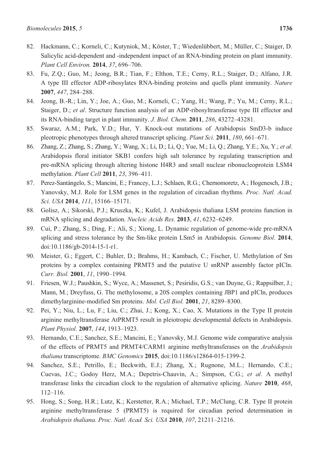- 82. Hackmann, C.; Korneli, C.; Kutyniok, M.; Köster, T.; Wiedenlübbert, M.; Müller, C.; Staiger, D. Salicylic acid-dependent and -independent impact of an RNA-binding protein on plant immunity. *Plant Cell Environ.* **2014**, *37*, 696–706.
- 83. Fu, Z.Q.; Guo, M.; Jeong, B.R.; Tian, F.; Elthon, T.E.; Cerny, R.L.; Staiger, D.; Alfano, J.R. A type III effector ADP-ribosylates RNA-binding proteins and quells plant immunity. *Nature*  **2007**, *447*, 284–288.
- 84. Jeong, B.-R.; Lin, Y.; Joe, A.; Guo, M.; Korneli, C.; Yang, H.; Wang, P.; Yu, M.; Cerny, R.L.; Staiger, D.; *et al*. Structure function analysis of an ADP-ribosyltransferase type III effector and its RNA-binding target in plant immunity. *J. Biol. Chem.* **2011**, *286*, 43272–43281.
- 85. Swaraz, A.M.; Park, Y.D.; Hur, Y. Knock-out mutations of Arabidopsis SmD3-b induce pleotropic phenotypes through altered transcript splicing. *Plant Sci.* **2011**, *180*, 661–671.
- 86. Zhang, Z.; Zhang, S.; Zhang, Y.; Wang, X.; Li, D.; Li, Q.; Yue, M.; Li, Q.; Zhang, Y.E.; Xu, Y.; *et al*. Arabidopsis floral initiator SKB1 confers high salt tolerance by regulating transcription and pre-mRNA splicing through altering histone H4R3 and small nuclear ribonucleoprotein LSM4 methylation. *Plant Cell* **2011**, *23*, 396–411.
- 87. Perez-Santángelo, S.; Mancini, E.; Francey, L.J.; Schlaen, R.G.; Chernomoretz, A.; Hogenesch, J.B.; Yanovsky, M.J. Role for LSM genes in the regulation of circadian rhythms. *Proc. Natl. Acad. Sci. USA* **2014**, *111*, 15166–15171.
- 88. Golisz, A.; Sikorski, P.J.; Kruszka, K.; Kufel, J. Arabidopsis thaliana LSM proteins function in mRNA splicing and degradation. *Nucleic Acids Res.* **2013**, *41*, 6232–6249.
- 89. Cui, P.; Zhang, S.; Ding, F.; Ali, S.; Xiong, L. Dynamic regulation of genome-wide pre-mRNA splicing and stress tolerance by the Sm-like protein LSm5 in Arabidopsis. *Genome Biol.* **2014**, doi:10.1186/gb-2014-15-1-r1.
- 90. Meister, G.; Eggert, C.; Buhler, D.; Brahms, H.; Kambach, C.; Fischer, U. Methylation of Sm proteins by a complex containing PRMT5 and the putative U snRNP assembly factor pICln. *Curr. Biol.* **2001**, *11*, 1990–1994.
- 91. Friesen, W.J.; Paushkin, S.; Wyce, A.; Massenet, S.; Pesiridis, G.S.; van Duyne, G.; Rappsilber, J.; Mann, M.; Dreyfuss, G. The methylosome, a 20S complex containing JBP1 and pICln, produces dimethylarginine-modified Sm proteins. *Mol. Cell Biol.* **2001**, *21*, 8289–8300.
- 92. Pei, Y.; Niu, L.; Lu, F.; Liu, C.; Zhai, J.; Kong, X.; Cao, X. Mutations in the Type II protein arginine methyltransferase AtPRMT5 result in pleiotropic developmental defects in Arabidopsis. *Plant Physiol.* **2007**, *144*, 1913–1923.
- 93. Hernando, C.E.; Sanchez, S.E.; Mancini, E.; Yanovsky, M.J. Genome wide comparative analysis of the effects of PRMT5 and PRMT4/CARM1 arginine methyltransferases on the *Arabidopsis thaliana* transcriptome. *BMC Genomics* **2015**, doi:10.1186/s12864-015-1399-2.
- 94. Sanchez, S.E.; Petrillo, E.; Beckwith, E.J.; Zhang, X.; Rugnone, M.L.; Hernando, C.E.; Cuevas, J.C.; Godoy Herz, M.A.; Depetris-Chauvin, A.; Simpson, C.G.; *et al*. A methyl transferase links the circadian clock to the regulation of alternative splicing. *Nature* **2010**, *468*, 112–116.
- 95. Hong, S.; Song, H.R.; Lutz, K.; Kerstetter, R.A.; Michael, T.P.; McClung, C.R. Type II protein arginine methyltransferase 5 (PRMT5) is required for circadian period determination in *Arabidopsis thaliana*. *Proc. Natl. Acad. Sci. USA* **2010**, *107*, 21211–21216.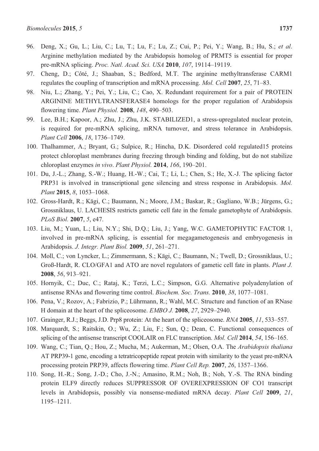- 96. Deng, X.; Gu, L.; Liu, C.; Lu, T.; Lu, F.; Lu, Z.; Cui, P.; Pei, Y.; Wang, B.; Hu, S.; *et al*. Arginine methylation mediated by the Arabidopsis homolog of PRMT5 is essential for proper pre-mRNA splicing. *Proc. Natl. Acad. Sci. USA* **2010**, *107*, 19114–19119.
- 97. Cheng, D.; Côté, J.; Shaaban, S.; Bedford, M.T. The arginine methyltransferase CARM1 regulates the coupling of transcription and mRNA processing. *Mol. Cell* **2007**, *25*, 71–83.
- 98. Niu, L.; Zhang, Y.; Pei, Y.; Liu, C.; Cao, X. Redundant requirement for a pair of PROTEIN ARGININE METHYLTRANSFERASE4 homologs for the proper regulation of Arabidopsis flowering time. *Plant Physiol.* **2008**, *148*, 490–503.
- 99. Lee, B.H.; Kapoor, A.; Zhu, J.; Zhu, J.K. STABILIZED1, a stress-upregulated nuclear protein, is required for pre-mRNA splicing, mRNA turnover, and stress tolerance in Arabidopsis. *Plant Cell* **2006**, *18*, 1736–1749.
- 100. Thalhammer, A.; Bryant, G.; Sulpice, R.; Hincha, D.K. Disordered cold regulated15 proteins protect chloroplast membranes during freezing through binding and folding, but do not stabilize chloroplast enzymes *in vivo*. *Plant Physiol.* **2014**, *166*, 190–201.
- 101. Du, J.-L.; Zhang, S.-W.; Huang, H.-W.; Cai, T.; Li, L.; Chen, S.; He, X.-J. The splicing factor PRP31 is involved in transcriptional gene silencing and stress response in Arabidopsis. *Mol. Plant* **2015**, *8*, 1053–1068.
- 102. Gross-Hardt, R.; Kägi, C.; Baumann, N.; Moore, J.M.; Baskar, R.; Gagliano, W.B.; Jürgens, G.; Grossniklaus, U. LACHESIS restricts gametic cell fate in the female gametophyte of Arabidopsis. *PLoS Biol.* **2007**, *5*, e47.
- 103. Liu, M.; Yuan, L.; Liu, N.Y.; Shi, D.Q.; Liu, J.; Yang, W.C. GAMETOPHYTIC FACTOR 1, involved in pre-mRNA splicing, is essential for megagametogenesis and embryogenesis in Arabidopsis. *J. Integr. Plant Biol.* **2009**, *51*, 261–271.
- 104. Moll, C.; von Lyncker, L.; Zimmermann, S.; Kägi, C.; Baumann, N.; Twell, D.; Grossniklaus, U.; Groß-Hardt, R. CLO/GFA1 and ATO are novel regulators of gametic cell fate in plants. *Plant J.*  **2008**, *56*, 913–921.
- 105. Hornyik, C.; Duc, C.; Rataj, K.; Terzi, L.C.; Simpson, G.G. Alternative polyadenylation of antisense RNAs and flowering time control. *Biochem. Soc. Trans.* **2010**, *38*, 1077–1081.
- 106. Pena, V.; Rozov, A.; Fabrizio, P.; Lührmann, R.; Wahl, M.C. Structure and function of an RNase H domain at the heart of the spliceosome. *EMBO J.* **2008**, *27*, 2929–2940.
- 107. Grainger, R.J.; Beggs, J.D. Prp8 protein: At the heart of the spliceosome. *RNA* **2005**, *11*, 533–557.
- 108. Marquardt, S.; Raitskin, O.; Wu, Z.; Liu, F.; Sun, Q.; Dean, C. Functional consequences of splicing of the antisense transcript COOLAIR on FLC transcription. *Mol. Cell* **2014**, *54*, 156–165.
- 109. Wang, C.; Tian, Q.; Hou, Z.; Mucha, M.; Aukerman, M.; Olsen, O.A. The *Arabidopsis thaliana*  AT PRP39-1 gene, encoding a tetratricopeptide repeat protein with similarity to the yeast pre-mRNA processing protein PRP39, affects flowering time. *Plant Cell Rep.* **2007**, *26*, 1357–1366.
- 110. Song, H.-R.; Song, J.-D.; Cho, J.-N.; Amasino, R.M.; Noh, B.; Noh, Y.-S. The RNA binding protein ELF9 directly reduces SUPPRESSOR OF OVEREXPRESSION OF CO1 transcript levels in Arabidopsis, possibly via nonsense-mediated mRNA decay. *Plant Cell* **2009**, *21*, 1195–1211.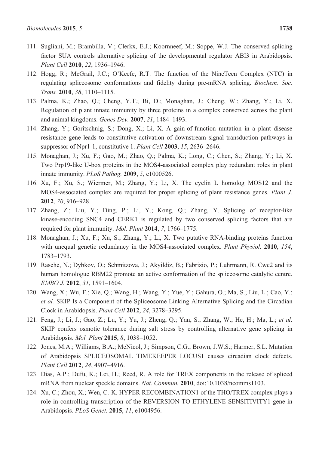- 111. Sugliani, M.; Brambilla, V.; Clerkx, E.J.; Koornneef, M.; Soppe, W.J. The conserved splicing factor SUA controls alternative splicing of the developmental regulator ABI3 in Arabidopsis. *Plant Cell* **2010**, *22*, 1936–1946.
- 112. Hogg, R.; McGrail, J.C.; O'Keefe, R.T. The function of the NineTeen Complex (NTC) in regulating spliceosome conformations and fidelity during pre-mRNA splicing. *Biochem. Soc. Trans.* **2010**, *38*, 1110–1115.
- 113. Palma, K.; Zhao, Q.; Cheng, Y.T.; Bi, D.; Monaghan, J.; Cheng, W.; Zhang, Y.; Li, X. Regulation of plant innate immunity by three proteins in a complex conserved across the plant and animal kingdoms. *Genes Dev.* **2007**, *21*, 1484–1493.
- 114. Zhang, Y.; Goritschnig, S.; Dong, X.; Li, X. A gain-of-function mutation in a plant disease resistance gene leads to constitutive activation of downstream signal transduction pathways in suppressor of Npr1-1, constitutive 1. *Plant Cell* **2003**, *15*, 2636–2646.
- 115. Monaghan, J.; Xu, F.; Gao, M.; Zhao, Q.; Palma, K.; Long, C.; Chen, S.; Zhang, Y.; Li, X. Two Prp19-like U-box proteins in the MOS4-associated complex play redundant roles in plant innate immunity. *PLoS Pathog.* **2009**, *5*, e1000526.
- 116. Xu, F.; Xu, S.; Wiermer, M.; Zhang, Y.; Li, X. The cyclin L homolog MOS12 and the MOS4-associated complex are required for proper splicing of plant resistance genes. *Plant J.*  **2012**, *70*, 916–928.
- 117. Zhang, Z.; Liu, Y.; Ding, P.; Li, Y.; Kong, Q.; Zhang, Y. Splicing of receptor-like kinase-encoding SNC4 and CERK1 is regulated by two conserved splicing factors that are required for plant immunity. *Mol. Plant* **2014**, *7*, 1766–1775.
- 118. Monaghan, J.; Xu, F.; Xu, S.; Zhang, Y.; Li, X. Two putative RNA-binding proteins function with unequal genetic redundancy in the MOS4-associated complex. *Plant Physiol.* **2010**, *154*, 1783–1793.
- 119. Rasche, N.; Dybkov, O.; Schmitzova, J.; Akyildiz, B.; Fabrizio, P.; Luhrmann, R. Cwc2 and its human homologue RBM22 promote an active conformation of the spliceosome catalytic centre. *EMBO J.* **2012**, *31*, 1591–1604.
- 120. Wang, X.; Wu, F.; Xie, Q.; Wang, H.; Wang, Y.; Yue, Y.; Gahura, O.; Ma, S.; Liu, L.; Cao, Y.; *et al.* SKIP Is a Component of the Spliceosome Linking Alternative Splicing and the Circadian Clock in Arabidopsis. *Plant Cell* **2012**, *24*, 3278–3295.
- 121. Feng, J.; Li, J.; Gao, Z.; Lu, Y.; Yu, J.; Zheng, Q.; Yan, S.; Zhang, W.; He, H.; Ma, L.; *et al*. SKIP confers osmotic tolerance during salt stress by controlling alternative gene splicing in Arabidopsis. *Mol. Plant* **2015**, *8*, 1038–1052.
- 122. Jones, M.A.; Williams, B.A.; McNicol, J.; Simpson, C.G.; Brown, J.W.S.; Harmer, S.L. Mutation of Arabidopsis SPLICEOSOMAL TIMEKEEPER LOCUS1 causes circadian clock defects. *Plant Cell* **2012**, *24*, 4907–4916.
- 123. Dias, A.P.; Dufu, K.; Lei, H.; Reed, R. A role for TREX components in the release of spliced mRNA from nuclear speckle domains. *Nat. Commun.* **2010**, doi:10.1038/ncomms1103.
- 124. Xu, C.; Zhou, X.; Wen, C.-K. HYPER RECOMBINATION1 of the THO/TREX complex plays a role in controlling transcription of the REVERSION-TO-ETHYLENE SENSITIVITY1 gene in Arabidopsis. *PLoS Genet.* **2015**, *11*, e1004956.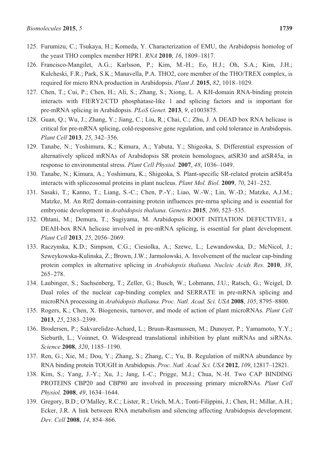- 125. Furumizu, C.; Tsukaya, H.; Komeda, Y. Characterization of EMU, the Arabidopsis homolog of the yeast THO complex member HPR1. *RNA* **2010**, *16*, 1809–1817.
- 126. Francisco-Mangilet, A.G.; Karlsson, P.; Kim, M.-H.; Eo, H.J.; Oh, S.A.; Kim, J.H.; Kulcheski, F.R.; Park, S.K.; Manavella, P.A. THO2, core member of the THO/TREX complex, is required for micro RNA production in Arabidopsis. *Plant J.* **2015**, *82*, 1018–1029.
- 127. Chen, T.; Cui, P.; Chen, H.; Ali, S.; Zhang, S.; Xiong, L. A KH-domain RNA-binding protein interacts with FIERY2/CTD phosphatase-like 1 and splicing factors and is important for pre-mRNA splicing in Arabidopsis. *PLoS Genet.* **2013**, *9*, e1003875.
- 128. Guan, Q.; Wu, J.; Zhang, Y.; Jiang, C.; Liu, R.; Chai, C.; Zhu, J. A DEAD box RNA helicase is critical for pre-mRNA splicing, cold-responsive gene regulation, and cold tolerance in Arabidopsis. *Plant Cell* **2013**, *25*, 342–356.
- 129. Tanabe, N.; Yoshimura, K.; Kimura, A.; Yabuta, Y.; Shigeoka, S. Differential expression of alternatively spliced mRNAs of Arabidopsis SR protein homologues, atSR30 and atSR45a, in response to environmental stress. *Plant Cell Physiol.* **2007**, *48*, 1036–1049.
- 130. Tanabe, N.; Kimura, A.; Yoshimura, K.; Shigeoka, S. Plant-specific SR-related protein atSR45a interacts with spliceosomal proteins in plant nucleus. *Plant Mol. Biol.* **2009**, *70*, 241–252.
- 131. Sasaki, T.; Kanno, T.; Liang, S.-C.; Chen, P.-Y.; Liao, W.-W.; Lin, W.-D.; Matzke, A.J.M.; Matzke, M. An Rtf2 domain-containing protein influences pre-mrna splicing and is essential for embryonic development in *Arabidopsis thaliana*. *Genetics* **2015**, *200*, 523–535.
- 132. Ohtani, M.; Demura, T.; Sugiyama, M. Arabidopsis ROOT INITIATION DEFECTIVE1, a DEAH-box RNA helicase involved in pre-mRNA splicing, is essential for plant development. *Plant Cell* **2013**, *25*, 2056–2069.
- 133. Raczynska, K.D.; Simpson, C.G.; Ciesiolka, A.; Szewc, L.; Lewandowska, D.; McNicol, J.; Szweykowska-Kulinska, Z.; Brown, J.W.; Jarmolowski, A. Involvement of the nuclear cap-binding protein complex in alternative splicing in *Arabidopsis thaliana*. *Nucleic Acids Res.* **2010**, *38*, 265–278.
- 134. Laubinger, S.; Sachsenberg, T.; Zeller, G.; Busch, W.; Lohmann, J.U.; Ratsch, G.; Weigel, D. Dual roles of the nuclear cap-binding complex and SERRATE in pre-mRNA splicing and microRNA processing in *Arabidopsis thaliana*. *Proc. Natl. Acad. Sci. USA* **2008**, *105*, 8795–8800.
- 135. Rogers, K.; Chen, X. Biogenesis, turnover, and mode of action of plant microRNAs. *Plant Cell*  **2013**, *25*, 2383–2399.
- 136. Brodersen, P.; Sakvarelidze-Achard, L.; Bruun-Rasmussen, M.; Dunoyer, P.; Yamamoto, Y.Y.; Sieburth, L.; Voinnet, O. Widespread translational inhibition by plant miRNAs and siRNAs. *Science* **2008**, *320*, 1185–1190.
- 137. Ren, G.; Xie, M.; Dou, Y.; Zhang, S.; Zhang, C.; Yu, B. Regulation of miRNA abundance by RNA binding protein TOUGH in Arabidopsis. *Proc. Natl. Acad. Sci. USA* **2012**, *109*, 12817–12821.
- 138. Kim, S.; Yang, J.-Y.; Xu, J.; Jang, I.-C.; Prigge, M.J.; Chua, N.-H. Two CAP BINDING PROTEINS CBP20 and CBP80 are involved in processing primary microRNAs. *Plant Cell Physiol.* **2008**, *49*, 1634–1644.
- 139. Gregory, B.D.; O'Malley, R.C.; Lister, R.; Urich, M.A.; Tonti-Filippini, J.; Chen, H.; Millar, A.H.; Ecker, J.R. A link between RNA metabolism and silencing affecting Arabidopsis development. *Dev. Cell* **2008**, *14*, 854–866.